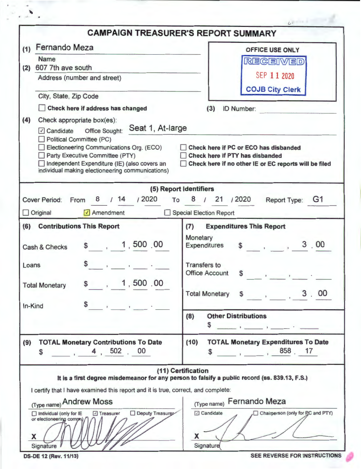|                                                                                                  | $L^{\frac{1}{2}}$                                                                             |
|--------------------------------------------------------------------------------------------------|-----------------------------------------------------------------------------------------------|
|                                                                                                  | <b>CAMPAIGN TREASURER'S REPORT SUMMARY</b>                                                    |
| Fernando Meza<br>(1)                                                                             | <b>OFFICE USE ONLY</b>                                                                        |
| <b>Name</b>                                                                                      | RECEIVED                                                                                      |
| 607 7th ave south<br>(2)                                                                         | SEP 11 2020                                                                                   |
| Address (number and street)                                                                      |                                                                                               |
| City, State, Zip Code                                                                            | <b>COJB City Clerk</b>                                                                        |
| Check here if address has changed<br>- 1                                                         | ID Number:<br>(3)                                                                             |
| (4)<br>Check appropriate box(es):                                                                |                                                                                               |
| Seat 1, At-large<br><b>Office Sought:</b><br>$\sqrt{2}$ Candidate                                |                                                                                               |
| <b>Political Committee (PC)</b><br>Electioneering Communications Org. (ECO)                      | Check here if PC or ECO has disbanded                                                         |
| Party Executive Committee (PTY)                                                                  | Check here if PTY has disbanded                                                               |
| Independent Expenditure (IE) (also covers an<br>individual making electioneering communications) | Check here if no other IE or EC reports will be filed                                         |
|                                                                                                  |                                                                                               |
|                                                                                                  | (5) Report Identifiers                                                                        |
| 12020<br>14<br>8<br><b>Cover Period:</b><br>From                                                 | 8 / 21 / 2020<br>To<br><b>G1</b><br>Report Type:                                              |
| $\Box$ Original<br>$\sqrt{ }$ Amendment                                                          | Special Election Report                                                                       |
| (6)<br><b>Contributions This Report</b>                                                          | (7)<br><b>Expenditures This Report</b>                                                        |
| \$1,500,00<br>Cash & Checks                                                                      | Monetary<br>3.00<br><b>Expenditures</b><br>$\sim$ $\sim$                                      |
| Loans                                                                                            | <b>Transfers to</b><br><b>Office Account</b><br>S                                             |
| 1, 500.00<br><b>Total Monetary</b>                                                               |                                                                                               |
|                                                                                                  | Total Monetary \$, 3.00                                                                       |
| In-Kind                                                                                          |                                                                                               |
|                                                                                                  | <b>Other Distributions</b><br>(8)                                                             |
|                                                                                                  | \$<br>$\mathbf{r}$ and $\mathbf{r}$ and $\mathbf{r}$                                          |
| <b>TOTAL Monetary Contributions To Date</b><br>(9)                                               | <b>TOTAL Monetary Expenditures To Date</b><br>(10)                                            |
| , 4, 502, 00<br>\$                                                                               | $\sim$ , 858 17<br>\$                                                                         |
|                                                                                                  | (11) Certification                                                                            |
|                                                                                                  | It is a first degree misdemeanor for any person to falsify a public record (ss. 839.13, F.S.) |
| I certify that I have examined this report and it is true, correct, and complete:                |                                                                                               |
| (Type name) Andrew Moss                                                                          | (Type name) Fernando Meza                                                                     |
| Deputy Treasurer<br>$\Box$ Individual (only for IE<br>□ Treasurer<br>or electioneering compro)   | $\Box$ Candidate<br>Chairperson (only for PC and PTY)                                         |
| X.                                                                                               | X.<br>Signature                                                                               |
| Signature                                                                                        |                                                                                               |

**DS-DE 12 (Rev. 11/13)** 

 $\lambda$ 

SEE REVERSE FOR INSTRUCTIONS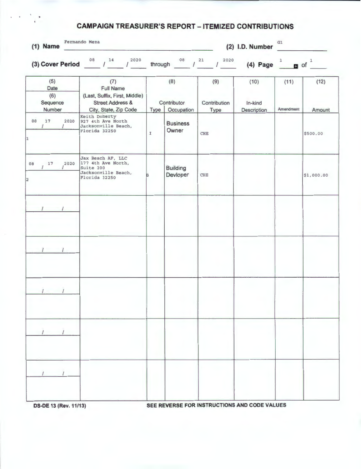## **CAMPAIGN TREASURER'S REPORT - ITEMIZED CONTRIBUTIONS**

|                      | $(1)$ Name                               | Fernando Meza<br>(2) I.D. Number                                                                                 |               |                                  |                             |                                                  | G1                |                |
|----------------------|------------------------------------------|------------------------------------------------------------------------------------------------------------------|---------------|----------------------------------|-----------------------------|--------------------------------------------------|-------------------|----------------|
|                      |                                          | (3) Cover Period $08$ $14$ $12020$                                                                               |               |                                  |                             | through $08$ / $21$ / $2020$ (4) Page $1$ of $1$ |                   |                |
|                      | (5)<br>Date<br>(6)<br>Sequence<br>Number | (7)<br><b>Full Name</b><br>(Last, Suffix, First, Middle)<br><b>Street Address &amp;</b><br>City, State, Zip Code | Type          | (8)<br>Contributor<br>Occupation | (9)<br>Contribution<br>Type | (10)<br>In-kind<br>Description                   | (11)<br>Amendment | (12)<br>Amount |
| 08<br>ı              | 17<br>2020<br>$\mathcal{I}$<br>$\prime$  | Keith Doherty<br>927 4th Ave North<br>Jacksonville Beach,<br>Florida 32250                                       | $\mathbbm{1}$ | <b>Business</b><br>Owner         | <b>CHE</b>                  |                                                  |                   | \$500.00       |
| 08<br>$\overline{a}$ | 17 2020                                  | Jax Beach AF, LLC<br>177 4th Ave North,<br>Suite 200<br>Jacksonville Beach,<br>Florida 32250                     | в             | <b>Building</b><br>Devloper      | CHE                         |                                                  |                   | \$1,000.00     |
|                      |                                          |                                                                                                                  |               |                                  |                             |                                                  |                   |                |
|                      | $1 \quad 1$                              |                                                                                                                  |               |                                  |                             |                                                  |                   |                |
|                      | $\frac{1}{2}$                            |                                                                                                                  |               |                                  |                             |                                                  |                   |                |
|                      |                                          |                                                                                                                  |               |                                  |                             |                                                  |                   |                |
|                      |                                          |                                                                                                                  |               |                                  |                             |                                                  |                   |                |

 $\mathbb{R}^n$ 

**OS-DE 13 (Rev. 11/13)** SEE REVERSE FOR INSTRUCTIONS AND CODE VALUES